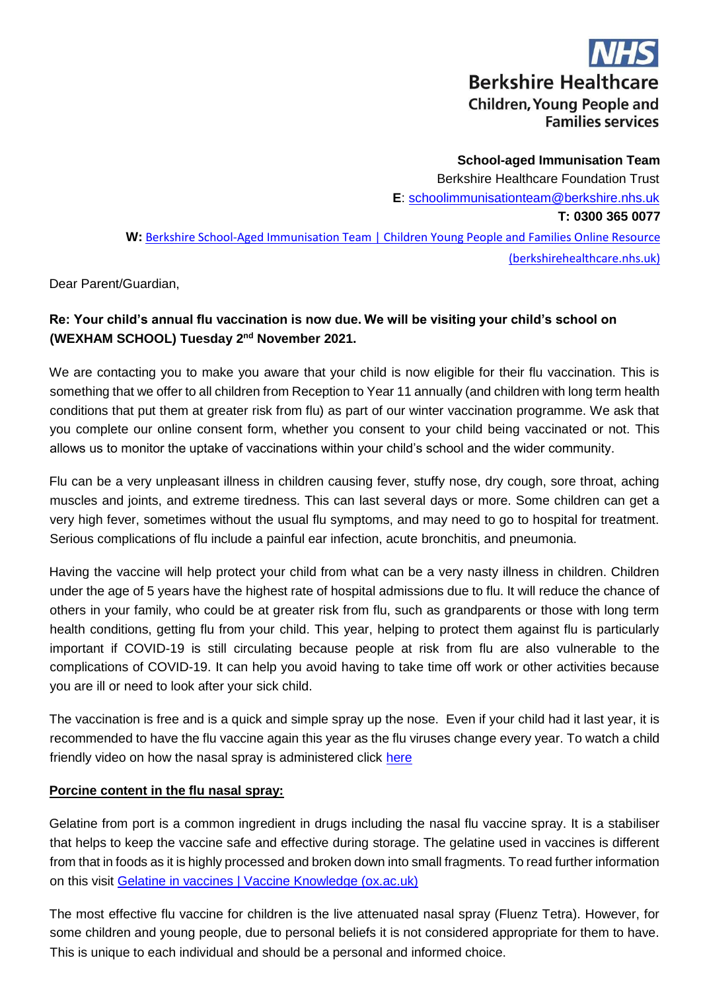**Berkshire Healthcare Children, Young People and Families services** 

**School-aged Immunisation Team**  Berkshire Healthcare Foundation Trust **E**: schoolimmunisationteam@berkshire.nhs.uk **T: 0300 365 0077 W:** [Berkshire School-Aged Immunisation Team | Children Young People and](https://cypf.berkshirehealthcare.nhs.uk/our-services/public-health-nursing-health-visiting-school-nursing-immunisation/berkshire-school-aged-immunisation-team/) [Families Online Resource](https://cypf.berkshirehealthcare.nhs.uk/our-services/public-health-nursing-health-visiting-school-nursing-immunisation/berkshire-school-aged-immunisation-team/) [\(berkshirehealthcare.nhs.uk\)](https://cypf.berkshirehealthcare.nhs.uk/our-services/public-health-nursing-health-visiting-school-nursing-immunisation/berkshire-school-aged-immunisation-team/)

Dear Parent/Guardian,

# **Re: Your child's annual flu vaccination is now due. We will be visiting your child's school on**  (WEXHAM SCHOOL) Tuesday 2<sup>nd</sup> November 2021.

We are contacting you to make you aware that your child is now eligible for their flu vaccination. This is something that we offer to all children from Reception to Year 11 annually (and children with long term health conditions that put them at greater risk from flu) as part of our winter vaccination programme. We ask that you complete our online consent form, whether you consent to your child being vaccinated or not. This allows us to monitor the uptake of vaccinations within your child's school and the wider community.

Flu can be a very unpleasant illness in children causing fever, stuffy nose, dry cough, sore throat, aching muscles and joints, and extreme tiredness. This can last several days or more. Some children can get a very high fever, sometimes without the usual flu symptoms, and may need to go to hospital for treatment. Serious complications of flu include a painful ear infection, acute bronchitis, and pneumonia.

Having the vaccine will help protect your child from what can be a very nasty illness in children. Children under the age of 5 years have the highest rate of hospital admissions due to flu. It will reduce the chance of others in your family, who could be at greater risk from flu, such as grandparents or those with long term health conditions, getting flu from your child. This year, helping to protect them against flu is particularly important if COVID-19 is still circulating because people at risk from flu are also vulnerable to the complications of COVID-19. It can help you avoid having to take time off work or other activities because you are ill or need to look after your sick child.

The vaccination is free and is a quick and simple spray up the nose. Even if your child had it last year, it is recommended to have the flu vaccine again this year as the flu viruses change every year. To watch a child friendly video on how the nasal spray is administered click [here](https://www.youtube.com/watch?v=1jHWwm8NQUw)

# **Porcine content in the flu nasal spray:**

Gelatine from port is a common ingredient in drugs including the nasal flu vaccine spray. It is a stabiliser that helps to keep the vaccine safe and effective during storage. The gelatine used in vaccines is different from that in foods as it is highly processed and broken down into small fragments. To read further information on this visit [Gelatine in vaccines | Vaccine Knowledge \(ox.ac.uk\)](https://vk.ovg.ox.ac.uk/vk/gelatine)

The most effective flu vaccine for children is the live attenuated nasal spray (Fluenz Tetra). However, for some children and young people, due to personal beliefs it is not considered appropriate for them to have. This is unique to each individual and should be a personal and informed choice.